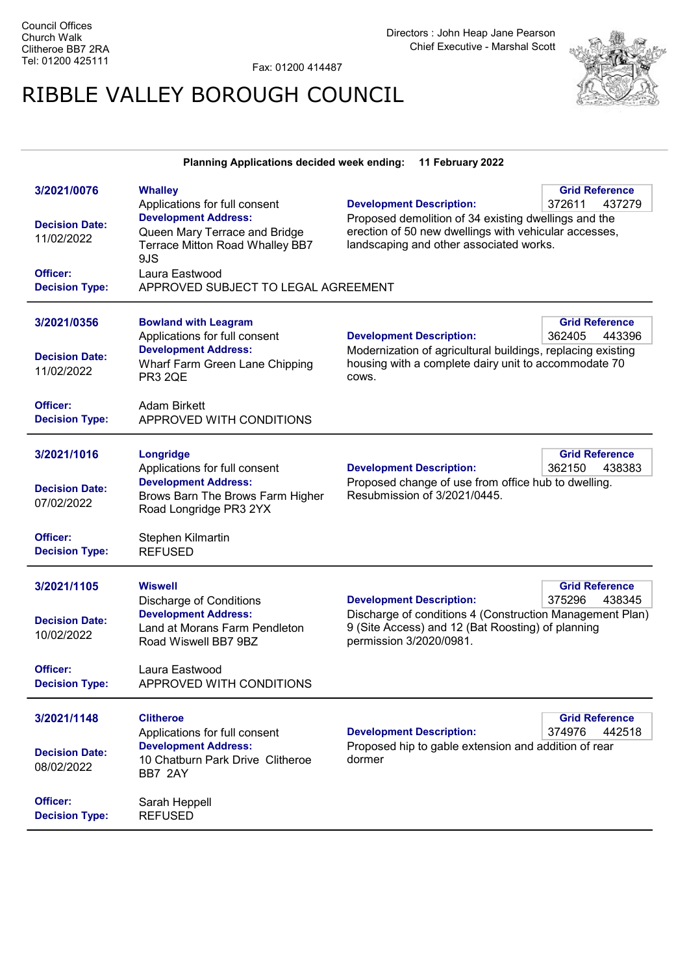Fax: 01200 414487

## RIBBLE VALLEY BOROUGH COUNCIL



|                                                                          | Planning Applications decided week ending:                                                                                                                                                       | 11 February 2022                                                                                                                                                                            |                                           |
|--------------------------------------------------------------------------|--------------------------------------------------------------------------------------------------------------------------------------------------------------------------------------------------|---------------------------------------------------------------------------------------------------------------------------------------------------------------------------------------------|-------------------------------------------|
| 3/2021/0076                                                              | <b>Whalley</b>                                                                                                                                                                                   |                                                                                                                                                                                             | <b>Grid Reference</b>                     |
| <b>Decision Date:</b><br>11/02/2022<br>Officer:<br><b>Decision Type:</b> | Applications for full consent<br><b>Development Address:</b><br>Queen Mary Terrace and Bridge<br>Terrace Mitton Road Whalley BB7<br>9JS<br>Laura Eastwood<br>APPROVED SUBJECT TO LEGAL AGREEMENT | <b>Development Description:</b><br>Proposed demolition of 34 existing dwellings and the<br>erection of 50 new dwellings with vehicular accesses,<br>landscaping and other associated works. | 372611<br>437279                          |
| 3/2021/0356                                                              | <b>Bowland with Leagram</b>                                                                                                                                                                      |                                                                                                                                                                                             | <b>Grid Reference</b>                     |
| <b>Decision Date:</b><br>11/02/2022                                      | Applications for full consent<br><b>Development Address:</b><br>Wharf Farm Green Lane Chipping<br><b>PR3 2QE</b>                                                                                 | <b>Development Description:</b><br>Modernization of agricultural buildings, replacing existing<br>housing with a complete dairy unit to accommodate 70<br>COWS.                             | 362405<br>443396                          |
| Officer:<br><b>Decision Type:</b>                                        | <b>Adam Birkett</b><br>APPROVED WITH CONDITIONS                                                                                                                                                  |                                                                                                                                                                                             |                                           |
| 3/2021/1016                                                              | Longridge<br>Applications for full consent                                                                                                                                                       |                                                                                                                                                                                             | <b>Grid Reference</b><br>438383           |
| <b>Decision Date:</b><br>07/02/2022                                      | <b>Development Address:</b><br>Brows Barn The Brows Farm Higher<br>Road Longridge PR3 2YX                                                                                                        | <b>Development Description:</b><br>362150<br>Proposed change of use from office hub to dwelling.<br>Resubmission of 3/2021/0445.                                                            |                                           |
| Officer:<br><b>Decision Type:</b>                                        | Stephen Kilmartin<br><b>REFUSED</b>                                                                                                                                                              |                                                                                                                                                                                             |                                           |
| 3/2021/1105                                                              | <b>Wiswell</b>                                                                                                                                                                                   |                                                                                                                                                                                             | <b>Grid Reference</b>                     |
| <b>Decision Date:</b><br>10/02/2022                                      | <b>Discharge of Conditions</b><br><b>Development Address:</b><br>Land at Morans Farm Pendleton<br>Road Wiswell BB7 9BZ                                                                           | <b>Development Description:</b><br>Discharge of conditions 4 (Construction Management Plan)<br>9 (Site Access) and 12 (Bat Roosting) of planning<br>permission 3/2020/0981.                 | 375296<br>438345                          |
| Officer:<br><b>Decision Type:</b>                                        | Laura Eastwood<br>APPROVED WITH CONDITIONS                                                                                                                                                       |                                                                                                                                                                                             |                                           |
| 3/2021/1148                                                              | <b>Clitheroe</b><br>Applications for full consent                                                                                                                                                | <b>Development Description:</b>                                                                                                                                                             | <b>Grid Reference</b><br>442518<br>374976 |
| <b>Decision Date:</b><br>08/02/2022                                      | <b>Development Address:</b><br>10 Chatburn Park Drive Clitheroe<br>BB7 2AY                                                                                                                       | Proposed hip to gable extension and addition of rear<br>dormer                                                                                                                              |                                           |
| Officer:<br><b>Decision Type:</b>                                        | Sarah Heppell<br><b>REFUSED</b>                                                                                                                                                                  |                                                                                                                                                                                             |                                           |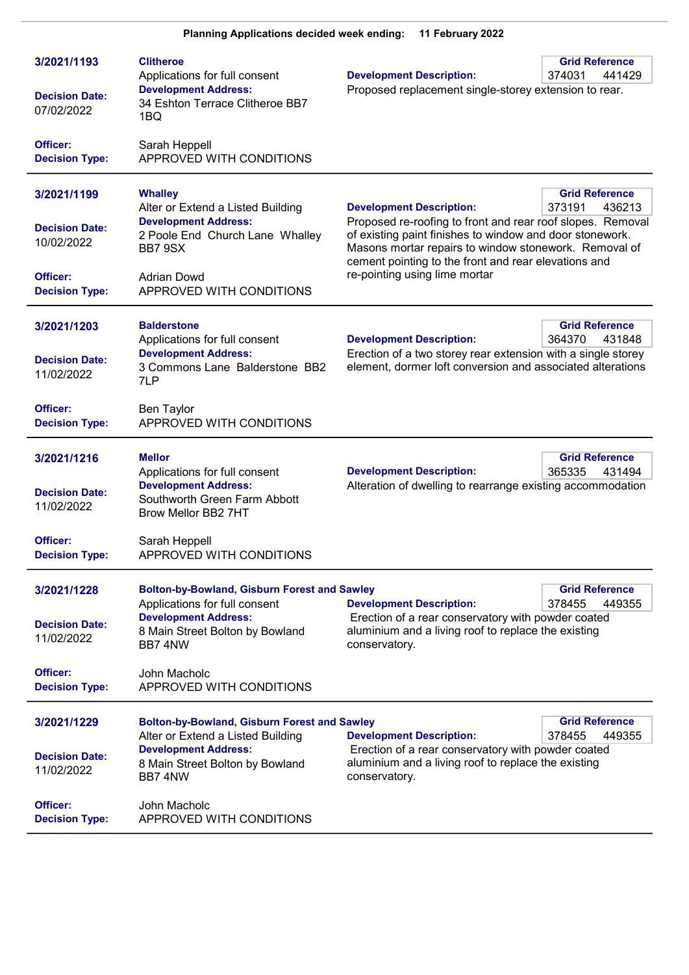| 3/2021/1193<br><b>Decision Date:</b><br>07/02/2022                                      | <b>Clitheroe</b><br>Applications for full consent<br><b>Development Address:</b><br>34 Eshton Terrace Clitheroe BB7<br>1BQ                                                         | <b>Development Description:</b><br>Proposed replacement single-storey extension to rear.                                                                                                                                                                                                                    | <b>Grid Reference</b><br>374031<br>441429 |
|-----------------------------------------------------------------------------------------|------------------------------------------------------------------------------------------------------------------------------------------------------------------------------------|-------------------------------------------------------------------------------------------------------------------------------------------------------------------------------------------------------------------------------------------------------------------------------------------------------------|-------------------------------------------|
| Officer:<br><b>Decision Type:</b>                                                       | Sarah Heppell<br>APPROVED WITH CONDITIONS                                                                                                                                          |                                                                                                                                                                                                                                                                                                             |                                           |
| 3/2021/1199<br><b>Decision Date:</b><br>10/02/2022<br>Officer:<br><b>Decision Type:</b> | <b>Whalley</b><br>Alter or Extend a Listed Building<br><b>Development Address:</b><br>2 Poole End Church Lane Whalley<br>BB7 9SX<br><b>Adrian Dowd</b><br>APPROVED WITH CONDITIONS | <b>Development Description:</b><br>Proposed re-roofing to front and rear roof slopes. Removal<br>of existing paint finishes to window and door stonework.<br>Masons mortar repairs to window stonework. Removal of<br>cement pointing to the front and rear elevations and<br>re-pointing using lime mortar | <b>Grid Reference</b><br>373191<br>436213 |
| 3/2021/1203                                                                             | <b>Balderstone</b>                                                                                                                                                                 |                                                                                                                                                                                                                                                                                                             | <b>Grid Reference</b>                     |
| <b>Decision Date:</b><br>11/02/2022                                                     | Applications for full consent<br><b>Development Address:</b><br>3 Commons Lane Balderstone BB2<br>7LP                                                                              | <b>Development Description:</b><br>Erection of a two storey rear extension with a single storey<br>element, dormer loft conversion and associated alterations                                                                                                                                               | 364370<br>431848                          |
| Officer:<br><b>Decision Type:</b>                                                       | Ben Taylor<br>APPROVED WITH CONDITIONS                                                                                                                                             |                                                                                                                                                                                                                                                                                                             |                                           |
| 3/2021/1216<br><b>Decision Date:</b><br>11/02/2022                                      | <b>Mellor</b><br>Applications for full consent<br><b>Development Address:</b><br>Southworth Green Farm Abbott<br>Brow Mellor BB2 7HT                                               | <b>Development Description:</b><br>Alteration of dwelling to rearrange existing accommodation                                                                                                                                                                                                               | <b>Grid Reference</b><br>365335<br>431494 |
| Officer:<br><b>Decision Type:</b>                                                       | Sarah Heppell<br>APPROVED WITH CONDITIONS                                                                                                                                          |                                                                                                                                                                                                                                                                                                             |                                           |
| 3/2021/1228<br><b>Decision Date:</b><br>11/02/2022                                      | <b>Bolton-by-Bowland, Gisburn Forest and Sawley</b><br>Applications for full consent<br><b>Development Address:</b><br>8 Main Street Bolton by Bowland<br>BB7 4NW                  | <b>Development Description:</b><br>Erection of a rear conservatory with powder coated<br>aluminium and a living roof to replace the existing<br>conservatory.                                                                                                                                               | <b>Grid Reference</b><br>378455<br>449355 |
| Officer:<br><b>Decision Type:</b>                                                       | John Macholc<br>APPROVED WITH CONDITIONS                                                                                                                                           |                                                                                                                                                                                                                                                                                                             |                                           |
| 3/2021/1229<br><b>Decision Date:</b><br>11/02/2022                                      | <b>Bolton-by-Bowland, Gisburn Forest and Sawley</b><br>Alter or Extend a Listed Building<br><b>Development Address:</b><br>8 Main Street Bolton by Bowland<br>BB7 4NW              | <b>Development Description:</b><br>Erection of a rear conservatory with powder coated<br>aluminium and a living roof to replace the existing<br>conservatory.                                                                                                                                               | <b>Grid Reference</b><br>378455<br>449355 |
| <b>Officer:</b><br><b>Decision Type:</b>                                                | John Macholc<br>APPROVED WITH CONDITIONS                                                                                                                                           |                                                                                                                                                                                                                                                                                                             |                                           |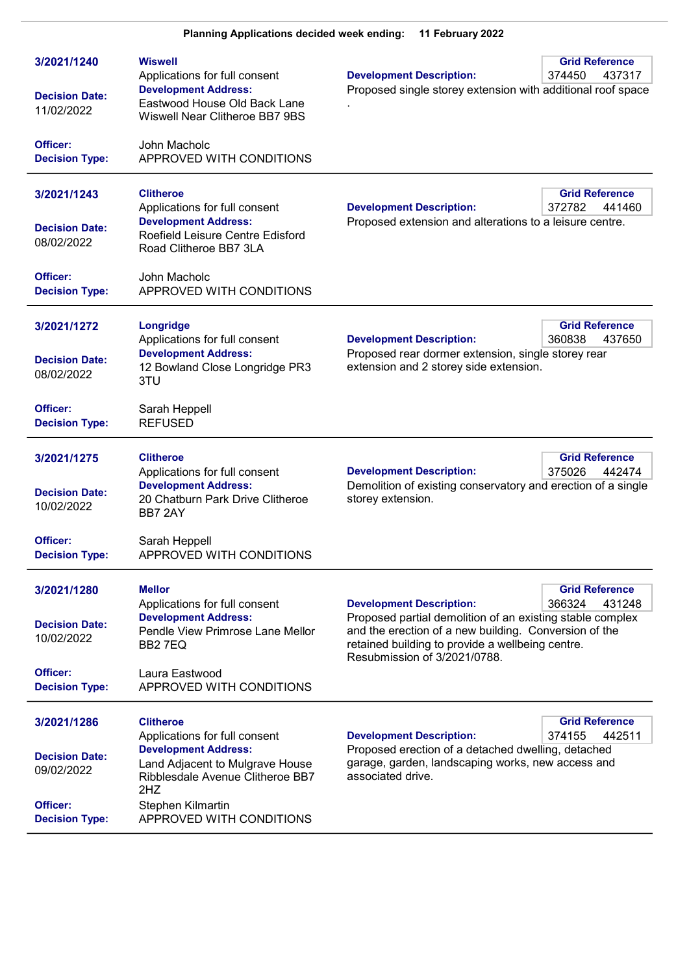| 3/2021/1240<br><b>Decision Date:</b><br>11/02/2022<br>Officer:<br><b>Decision Type:</b> | <b>Wiswell</b><br>Applications for full consent<br><b>Development Address:</b><br>Eastwood House Old Back Lane<br>Wiswell Near Clitheroe BB7 9BS<br>John Macholc<br>APPROVED WITH CONDITIONS                    | <b>Development Description:</b><br>Proposed single storey extension with additional roof space                                                                                                                                            | <b>Grid Reference</b><br>374450<br>437317 |
|-----------------------------------------------------------------------------------------|-----------------------------------------------------------------------------------------------------------------------------------------------------------------------------------------------------------------|-------------------------------------------------------------------------------------------------------------------------------------------------------------------------------------------------------------------------------------------|-------------------------------------------|
| 3/2021/1243<br><b>Decision Date:</b><br>08/02/2022<br>Officer:<br><b>Decision Type:</b> | <b>Clitheroe</b><br>Applications for full consent<br><b>Development Address:</b><br>Roefield Leisure Centre Edisford<br>Road Clitheroe BB7 3LA<br>John Macholc<br>APPROVED WITH CONDITIONS                      | <b>Development Description:</b><br>Proposed extension and alterations to a leisure centre.                                                                                                                                                | <b>Grid Reference</b><br>372782<br>441460 |
| 3/2021/1272<br><b>Decision Date:</b><br>08/02/2022<br>Officer:<br><b>Decision Type:</b> | Longridge<br>Applications for full consent<br><b>Development Address:</b><br>12 Bowland Close Longridge PR3<br>3TU<br>Sarah Heppell<br><b>REFUSED</b>                                                           | <b>Development Description:</b><br>Proposed rear dormer extension, single storey rear<br>extension and 2 storey side extension.                                                                                                           | <b>Grid Reference</b><br>360838<br>437650 |
| 3/2021/1275<br><b>Decision Date:</b><br>10/02/2022<br>Officer:<br><b>Decision Type:</b> | <b>Clitheroe</b><br>Applications for full consent<br><b>Development Address:</b><br>20 Chatburn Park Drive Clitheroe<br>BB7 2AY<br>Sarah Heppell<br>APPROVED WITH CONDITIONS                                    | <b>Development Description:</b><br>Demolition of existing conservatory and erection of a single<br>storey extension.                                                                                                                      | <b>Grid Reference</b><br>375026<br>442474 |
| 3/2021/1280<br><b>Decision Date:</b><br>10/02/2022<br>Officer:<br><b>Decision Type:</b> | <b>Mellor</b><br>Applications for full consent<br><b>Development Address:</b><br>Pendle View Primrose Lane Mellor<br>BB <sub>2</sub> 7EQ<br>Laura Eastwood<br>APPROVED WITH CONDITIONS                          | <b>Development Description:</b><br>Proposed partial demolition of an existing stable complex<br>and the erection of a new building. Conversion of the<br>retained building to provide a wellbeing centre.<br>Resubmission of 3/2021/0788. | <b>Grid Reference</b><br>366324<br>431248 |
| 3/2021/1286<br><b>Decision Date:</b><br>09/02/2022<br>Officer:<br><b>Decision Type:</b> | <b>Clitheroe</b><br>Applications for full consent<br><b>Development Address:</b><br>Land Adjacent to Mulgrave House<br>Ribblesdale Avenue Clitheroe BB7<br>2HZ<br>Stephen Kilmartin<br>APPROVED WITH CONDITIONS | <b>Development Description:</b><br>Proposed erection of a detached dwelling, detached<br>garage, garden, landscaping works, new access and<br>associated drive.                                                                           | <b>Grid Reference</b><br>442511<br>374155 |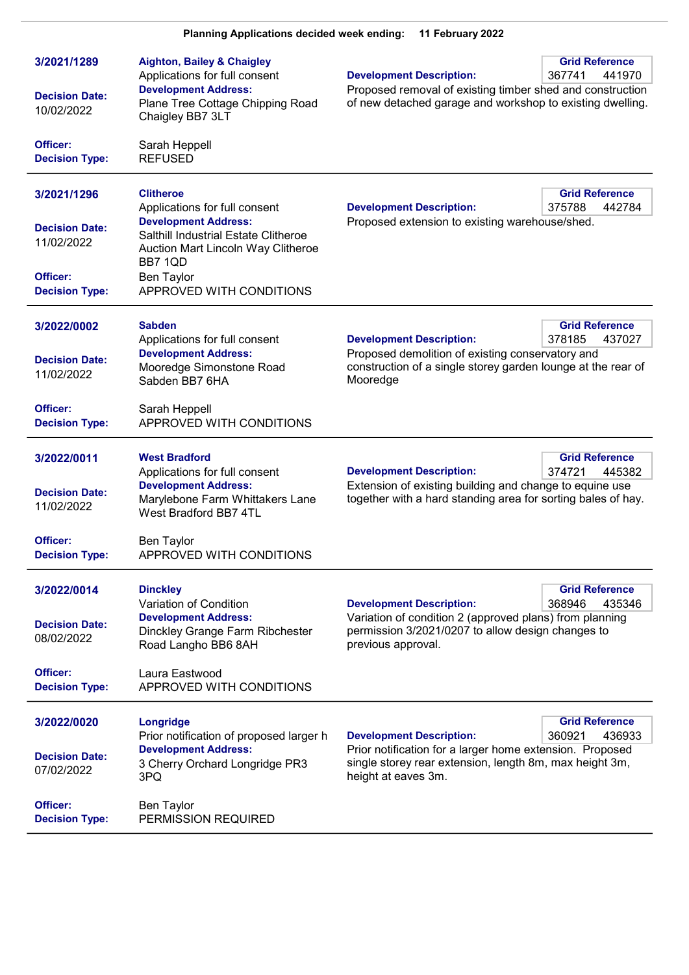| <b>Planning Applications decided week ending:</b><br>11 February 2022                   |                                                                                                                                                                                                                            |                                                                                                                                                                               |                                           |
|-----------------------------------------------------------------------------------------|----------------------------------------------------------------------------------------------------------------------------------------------------------------------------------------------------------------------------|-------------------------------------------------------------------------------------------------------------------------------------------------------------------------------|-------------------------------------------|
| 3/2021/1289<br><b>Decision Date:</b><br>10/02/2022<br>Officer:                          | <b>Aighton, Bailey &amp; Chaigley</b><br>Applications for full consent<br><b>Development Address:</b><br>Plane Tree Cottage Chipping Road<br>Chaigley BB7 3LT<br>Sarah Heppell                                             | <b>Development Description:</b><br>Proposed removal of existing timber shed and construction<br>of new detached garage and workshop to existing dwelling.                     | <b>Grid Reference</b><br>441970<br>367741 |
| <b>Decision Type:</b>                                                                   | <b>REFUSED</b>                                                                                                                                                                                                             |                                                                                                                                                                               |                                           |
| 3/2021/1296<br><b>Decision Date:</b><br>11/02/2022<br>Officer:<br><b>Decision Type:</b> | <b>Clitheroe</b><br>Applications for full consent<br><b>Development Address:</b><br>Salthill Industrial Estate Clitheroe<br>Auction Mart Lincoln Way Clitheroe<br>BB7 1QD<br><b>Ben Taylor</b><br>APPROVED WITH CONDITIONS | <b>Development Description:</b><br>Proposed extension to existing warehouse/shed.                                                                                             | <b>Grid Reference</b><br>375788<br>442784 |
| 3/2022/0002<br><b>Decision Date:</b><br>11/02/2022                                      | <b>Sabden</b><br>Applications for full consent<br><b>Development Address:</b><br>Mooredge Simonstone Road<br>Sabden BB7 6HA                                                                                                | <b>Development Description:</b><br>Proposed demolition of existing conservatory and<br>construction of a single storey garden lounge at the rear of<br>Mooredge               | <b>Grid Reference</b><br>378185<br>437027 |
| Officer:<br><b>Decision Type:</b>                                                       | Sarah Heppell<br>APPROVED WITH CONDITIONS                                                                                                                                                                                  |                                                                                                                                                                               |                                           |
| 3/2022/0011<br><b>Decision Date:</b><br>11/02/2022                                      | <b>West Bradford</b><br>Applications for full consent<br><b>Development Address:</b><br>Marylebone Farm Whittakers Lane<br>West Bradford BB7 4TL                                                                           | <b>Development Description:</b><br>Extension of existing building and change to equine use<br>together with a hard standing area for sorting bales of hay.                    | <b>Grid Reference</b><br>374721<br>445382 |
| Officer:<br><b>Decision Type:</b>                                                       | <b>Ben Taylor</b><br>APPROVED WITH CONDITIONS                                                                                                                                                                              |                                                                                                                                                                               |                                           |
| 3/2022/0014<br><b>Decision Date:</b><br>08/02/2022                                      | <b>Dinckley</b><br>Variation of Condition<br><b>Development Address:</b><br>Dinckley Grange Farm Ribchester<br>Road Langho BB6 8AH                                                                                         | <b>Development Description:</b><br>Variation of condition 2 (approved plans) from planning<br>permission 3/2021/0207 to allow design changes to<br>previous approval.         | <b>Grid Reference</b><br>368946<br>435346 |
| Officer:<br><b>Decision Type:</b>                                                       | Laura Eastwood<br>APPROVED WITH CONDITIONS                                                                                                                                                                                 |                                                                                                                                                                               |                                           |
| 3/2022/0020<br><b>Decision Date:</b><br>07/02/2022                                      | <b>Longridge</b><br>Prior notification of proposed larger h<br><b>Development Address:</b><br>3 Cherry Orchard Longridge PR3<br>3PQ                                                                                        | <b>Development Description:</b><br>Prior notification for a larger home extension. Proposed<br>single storey rear extension, length 8m, max height 3m,<br>height at eaves 3m. | <b>Grid Reference</b><br>360921<br>436933 |
| Officer:<br><b>Decision Type:</b>                                                       | <b>Ben Taylor</b><br>PERMISSION REQUIRED                                                                                                                                                                                   |                                                                                                                                                                               |                                           |